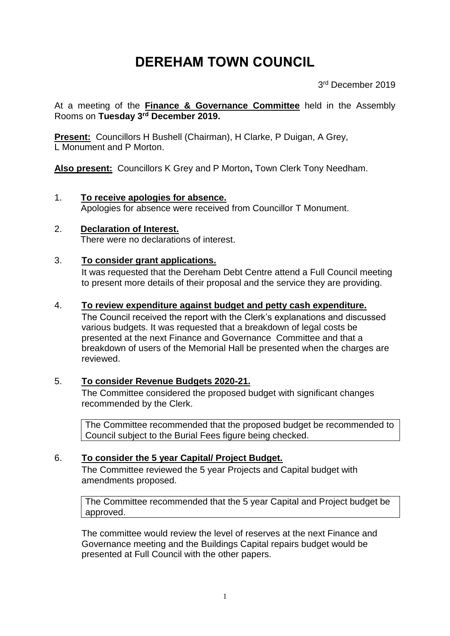# **DEREHAM TOWN COUNCIL**

3rd December 2019

At a meeting of the **Finance & Governance Committee** held in the Assembly Rooms on **Tuesday 3 rd December 2019.**

**Present:** Councillors H Bushell (Chairman), H Clarke, P Duigan, A Grey, L Monument and P Morton.

**Also present:** Councillors K Grey and P Morton**,** Town Clerk Tony Needham.

- 1. **To receive apologies for absence.** Apologies for absence were received from Councillor T Monument.
- 2. **Declaration of Interest.**  There were no declarations of interest.
- 3. **To consider grant applications.** It was requested that the Dereham Debt Centre attend a Full Council meeting to present more details of their proposal and the service they are providing.

## 4. **To review expenditure against budget and petty cash expenditure.**

The Council received the report with the Clerk's explanations and discussed various budgets. It was requested that a breakdown of legal costs be presented at the next Finance and Governance Committee and that a breakdown of users of the Memorial Hall be presented when the charges are reviewed.

# 5. **To consider Revenue Budgets 2020-21.**

The Committee considered the proposed budget with significant changes recommended by the Clerk.

The Committee recommended that the proposed budget be recommended to Council subject to the Burial Fees figure being checked.

# 6. **To consider the 5 year Capital/ Project Budget.**

The Committee reviewed the 5 year Projects and Capital budget with amendments proposed.

The Committee recommended that the 5 year Capital and Project budget be approved.

The committee would review the level of reserves at the next Finance and Governance meeting and the Buildings Capital repairs budget would be presented at Full Council with the other papers.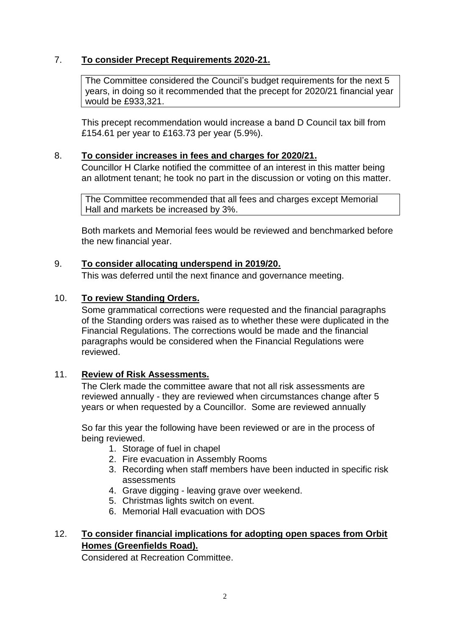# 7. **To consider Precept Requirements 2020-21.**

The Committee considered the Council's budget requirements for the next 5 years, in doing so it recommended that the precept for 2020/21 financial year would be £933,321.

This precept recommendation would increase a band D Council tax bill from £154.61 per year to £163.73 per year (5.9%).

#### 8. **To consider increases in fees and charges for 2020/21.**

Councillor H Clarke notified the committee of an interest in this matter being an allotment tenant; he took no part in the discussion or voting on this matter.

The Committee recommended that all fees and charges except Memorial Hall and markets be increased by 3%.

Both markets and Memorial fees would be reviewed and benchmarked before the new financial year.

#### 9. **To consider allocating underspend in 2019/20.**

This was deferred until the next finance and governance meeting.

## 10. **To review Standing Orders.**

Some grammatical corrections were requested and the financial paragraphs of the Standing orders was raised as to whether these were duplicated in the Financial Regulations. The corrections would be made and the financial paragraphs would be considered when the Financial Regulations were reviewed.

#### 11. **Review of Risk Assessments.**

The Clerk made the committee aware that not all risk assessments are reviewed annually - they are reviewed when circumstances change after 5 years or when requested by a Councillor. Some are reviewed annually

So far this year the following have been reviewed or are in the process of being reviewed.

- 1. Storage of fuel in chapel
- 2. Fire evacuation in Assembly Rooms
- 3. Recording when staff members have been inducted in specific risk assessments
- 4. Grave digging leaving grave over weekend.
- 5. Christmas lights switch on event.
- 6. Memorial Hall evacuation with DOS

# 12. **To consider financial implications for adopting open spaces from Orbit Homes (Greenfields Road).**

Considered at Recreation Committee.